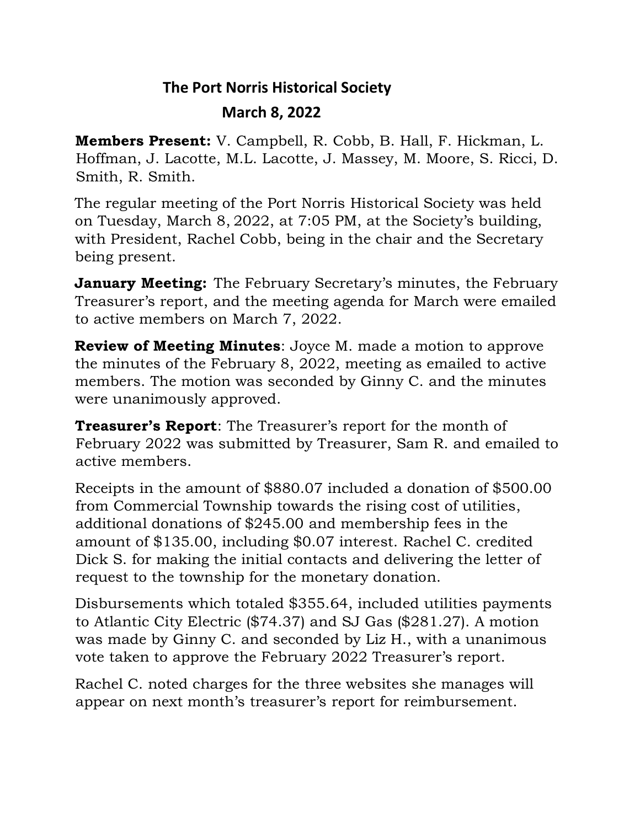## **The Port Norris Historical Society March 8, 2022**

**Members Present:** V. Campbell, R. Cobb, B. Hall, F. Hickman, L. Hoffman, J. Lacotte, M.L. Lacotte, J. Massey, M. Moore, S. Ricci, D. Smith, R. Smith.

The regular meeting of the Port Norris Historical Society was held on Tuesday, March 8, 2022, at 7:05 PM, at the Society's building, with President, Rachel Cobb, being in the chair and the Secretary being present.

**January Meeting:** The February Secretary's minutes, the February Treasurer's report, and the meeting agenda for March were emailed to active members on March 7, 2022.

**Review of Meeting Minutes**: Joyce M. made a motion to approve the minutes of the February 8, 2022, meeting as emailed to active members. The motion was seconded by Ginny C. and the minutes were unanimously approved.

**Treasurer's Report**: The Treasurer's report for the month of February 2022 was submitted by Treasurer, Sam R. and emailed to active members.

Receipts in the amount of \$880.07 included a donation of \$500.00 from Commercial Township towards the rising cost of utilities, additional donations of \$245.00 and membership fees in the amount of \$135.00, including \$0.07 interest. Rachel C. credited Dick S. for making the initial contacts and delivering the letter of request to the township for the monetary donation.

Disbursements which totaled \$355.64, included utilities payments to Atlantic City Electric (\$74.37) and SJ Gas (\$281.27). A motion was made by Ginny C. and seconded by Liz H., with a unanimous vote taken to approve the February 2022 Treasurer's report.

Rachel C. noted charges for the three websites she manages will appear on next month's treasurer's report for reimbursement.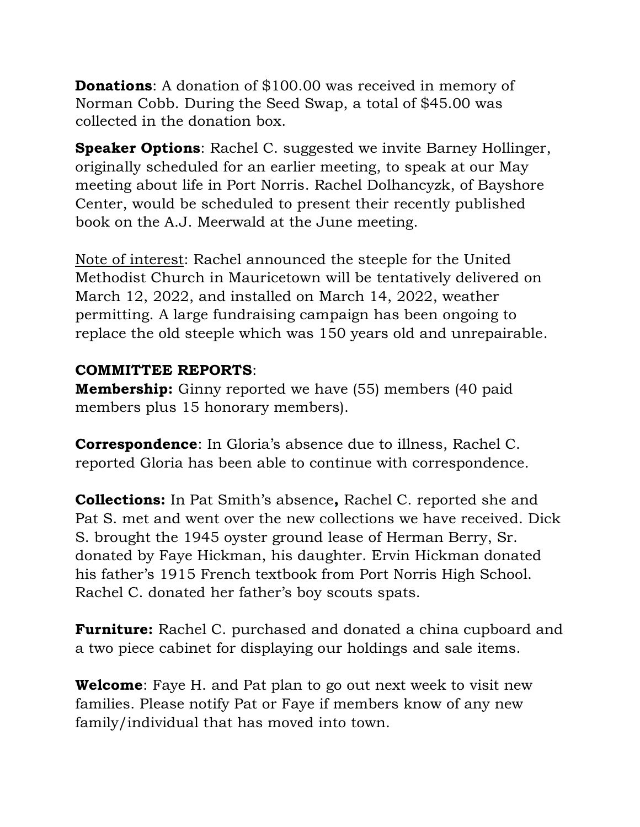**Donations:** A donation of \$100.00 was received in memory of Norman Cobb. During the Seed Swap, a total of \$45.00 was collected in the donation box.

**Speaker Options**: Rachel C. suggested we invite Barney Hollinger, originally scheduled for an earlier meeting, to speak at our May meeting about life in Port Norris. Rachel Dolhancyzk, of Bayshore Center, would be scheduled to present their recently published book on the A.J. Meerwald at the June meeting.

Note of interest: Rachel announced the steeple for the United Methodist Church in Mauricetown will be tentatively delivered on March 12, 2022, and installed on March 14, 2022, weather permitting. A large fundraising campaign has been ongoing to replace the old steeple which was 150 years old and unrepairable.

## **COMMITTEE REPORTS**:

**Membership:** Ginny reported we have (55) members (40 paid members plus 15 honorary members).

**Correspondence**: In Gloria's absence due to illness, Rachel C. reported Gloria has been able to continue with correspondence.

**Collections:** In Pat Smith's absence**,** Rachel C. reported she and Pat S. met and went over the new collections we have received. Dick S. brought the 1945 oyster ground lease of Herman Berry, Sr. donated by Faye Hickman, his daughter. Ervin Hickman donated his father's 1915 French textbook from Port Norris High School. Rachel C. donated her father's boy scouts spats.

**Furniture:** Rachel C. purchased and donated a china cupboard and a two piece cabinet for displaying our holdings and sale items.

**Welcome**: Faye H. and Pat plan to go out next week to visit new families. Please notify Pat or Faye if members know of any new family/individual that has moved into town.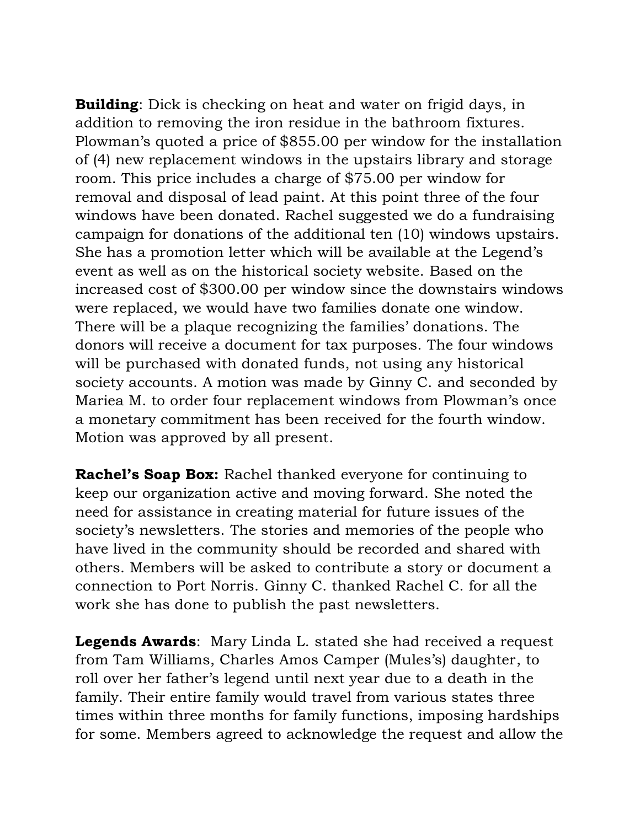**Building**: Dick is checking on heat and water on frigid days, in addition to removing the iron residue in the bathroom fixtures. Plowman's quoted a price of \$855.00 per window for the installation of (4) new replacement windows in the upstairs library and storage room. This price includes a charge of \$75.00 per window for removal and disposal of lead paint. At this point three of the four windows have been donated. Rachel suggested we do a fundraising campaign for donations of the additional ten (10) windows upstairs. She has a promotion letter which will be available at the Legend's event as well as on the historical society website. Based on the increased cost of \$300.00 per window since the downstairs windows were replaced, we would have two families donate one window. There will be a plaque recognizing the families' donations. The donors will receive a document for tax purposes. The four windows will be purchased with donated funds, not using any historical society accounts. A motion was made by Ginny C. and seconded by Mariea M. to order four replacement windows from Plowman's once a monetary commitment has been received for the fourth window. Motion was approved by all present.

**Rachel's Soap Box:** Rachel thanked everyone for continuing to keep our organization active and moving forward. She noted the need for assistance in creating material for future issues of the society's newsletters. The stories and memories of the people who have lived in the community should be recorded and shared with others. Members will be asked to contribute a story or document a connection to Port Norris. Ginny C. thanked Rachel C. for all the work she has done to publish the past newsletters.

**Legends Awards**: Mary Linda L. stated she had received a request from Tam Williams, Charles Amos Camper (Mules's) daughter, to roll over her father's legend until next year due to a death in the family. Their entire family would travel from various states three times within three months for family functions, imposing hardships for some. Members agreed to acknowledge the request and allow the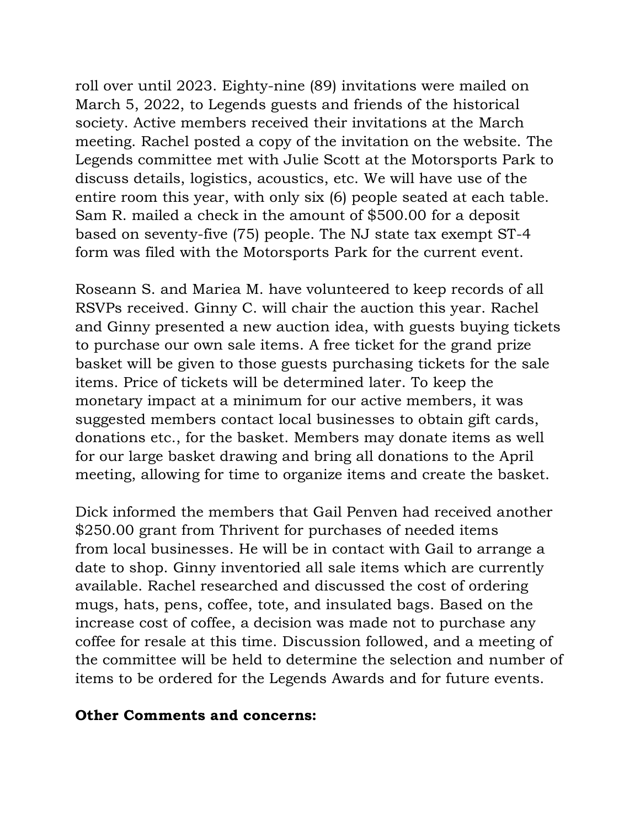roll over until 2023. Eighty-nine (89) invitations were mailed on March 5, 2022, to Legends guests and friends of the historical society. Active members received their invitations at the March meeting. Rachel posted a copy of the invitation on the website. The Legends committee met with Julie Scott at the Motorsports Park to discuss details, logistics, acoustics, etc. We will have use of the entire room this year, with only six (6) people seated at each table. Sam R. mailed a check in the amount of \$500.00 for a deposit based on seventy-five (75) people. The NJ state tax exempt ST-4 form was filed with the Motorsports Park for the current event.

Roseann S. and Mariea M. have volunteered to keep records of all RSVPs received. Ginny C. will chair the auction this year. Rachel and Ginny presented a new auction idea, with guests buying tickets to purchase our own sale items. A free ticket for the grand prize basket will be given to those guests purchasing tickets for the sale items. Price of tickets will be determined later. To keep the monetary impact at a minimum for our active members, it was suggested members contact local businesses to obtain gift cards, donations etc., for the basket. Members may donate items as well for our large basket drawing and bring all donations to the April meeting, allowing for time to organize items and create the basket.

Dick informed the members that Gail Penven had received another \$250.00 grant from Thrivent for purchases of needed items from local businesses. He will be in contact with Gail to arrange a date to shop. Ginny inventoried all sale items which are currently available. Rachel researched and discussed the cost of ordering mugs, hats, pens, coffee, tote, and insulated bags. Based on the increase cost of coffee, a decision was made not to purchase any coffee for resale at this time. Discussion followed, and a meeting of the committee will be held to determine the selection and number of items to be ordered for the Legends Awards and for future events.

## **Other Comments and concerns:**